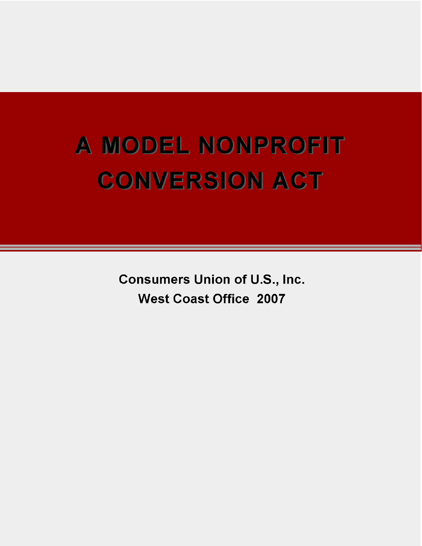# A MODEL NONPROFIT **CONVERSION ACT**

**Consumers Union of U.S., Inc. West Coast Office 2007**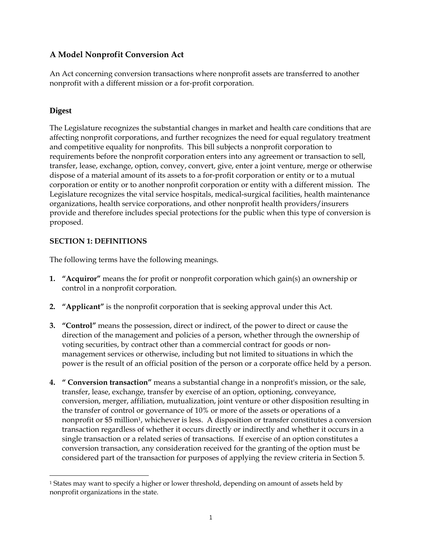# **A Model Nonprofit Conversion Act**

An Act concerning conversion transactions where nonprofit assets are transferred to another nonprofit with a different mission or a for-profit corporation.

# **Digest**

 $\overline{a}$ 

The Legislature recognizes the substantial changes in market and health care conditions that are affecting nonprofit corporations, and further recognizes the need for equal regulatory treatment and competitive equality for nonprofits. This bill subjects a nonprofit corporation to requirements before the nonprofit corporation enters into any agreement or transaction to sell, transfer, lease, exchange, option, convey, convert, give, enter a joint venture, merge or otherwise dispose of a material amount of its assets to a for-profit corporation or entity or to a mutual corporation or entity or to another nonprofit corporation or entity with a different mission. The Legislature recognizes the vital service hospitals, medical-surgical facilities, health maintenance organizations, health service corporations, and other nonprofit health providers/insurers provide and therefore includes special protections for the public when this type of conversion is proposed.

# **SECTION 1: DEFINITIONS**

The following terms have the following meanings.

- **1. "Acquiror"** means the for profit or nonprofit corporation which gain(s) an ownership or control in a nonprofit corporation.
- **2. "Applicant"** is the nonprofit corporation that is seeking approval under this Act.
- **3. "Control"** means the possession, direct or indirect, of the power to direct or cause the direction of the management and policies of a person, whether through the ownership of voting securities, by contract other than a commercial contract for goods or nonmanagement services or otherwise, including but not limited to situations in which the power is the result of an official position of the person or a corporate office held by a person.
- **4. " Conversion transaction"** means a substantial change in a nonprofit's mission, or the sale, transfer, lease, exchange, transfer by exercise of an option, optioning, conveyance, conversion, merger, affiliation, mutualization, joint venture or other disposition resulting in the transfer of control or governance of 10% or more of the assets or operations of a nonprofit or \$5 million<sup>1</sup>, whichever is less. A disposition or transfer constitutes a conversion transaction regardless of whether it occurs directly or indirectly and whether it occurs in a single transaction or a related series of transactions. If exercise of an option constitutes a conversion transaction, any consideration received for the granting of the option must be considered part of the transaction for purposes of applying the review criteria in Section 5.

<sup>&</sup>lt;sup>1</sup> States may want to specify a higher or lower threshold, depending on amount of assets held by nonprofit organizations in the state.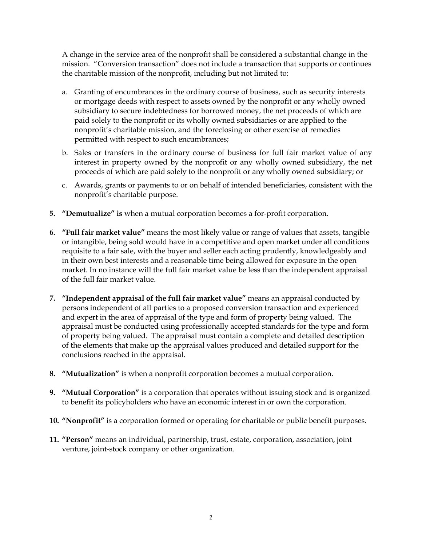A change in the service area of the nonprofit shall be considered a substantial change in the mission. "Conversion transaction" does not include a transaction that supports or continues the charitable mission of the nonprofit, including but not limited to:

- a. Granting of encumbrances in the ordinary course of business, such as security interests or mortgage deeds with respect to assets owned by the nonprofit or any wholly owned subsidiary to secure indebtedness for borrowed money, the net proceeds of which are paid solely to the nonprofit or its wholly owned subsidiaries or are applied to the nonprofit's charitable mission, and the foreclosing or other exercise of remedies permitted with respect to such encumbrances;
- b. Sales or transfers in the ordinary course of business for full fair market value of any interest in property owned by the nonprofit or any wholly owned subsidiary, the net proceeds of which are paid solely to the nonprofit or any wholly owned subsidiary; or
- c. Awards, grants or payments to or on behalf of intended beneficiaries, consistent with the nonprofit's charitable purpose.
- **5. "Demutualize" is** when a mutual corporation becomes a for-profit corporation.
- **6. "Full fair market value"** means the most likely value or range of values that assets, tangible or intangible, being sold would have in a competitive and open market under all conditions requisite to a fair sale, with the buyer and seller each acting prudently, knowledgeably and in their own best interests and a reasonable time being allowed for exposure in the open market. In no instance will the full fair market value be less than the independent appraisal of the full fair market value.
- **7. "Independent appraisal of the full fair market value"** means an appraisal conducted by persons independent of all parties to a proposed conversion transaction and experienced and expert in the area of appraisal of the type and form of property being valued. The appraisal must be conducted using professionally accepted standards for the type and form of property being valued. The appraisal must contain a complete and detailed description of the elements that make up the appraisal values produced and detailed support for the conclusions reached in the appraisal.
- **8. "Mutualization"** is when a nonprofit corporation becomes a mutual corporation.
- **9. "Mutual Corporation"** is a corporation that operates without issuing stock and is organized to benefit its policyholders who have an economic interest in or own the corporation.
- **10. "Nonprofit"** is a corporation formed or operating for charitable or public benefit purposes.
- **11. "Person"** means an individual, partnership, trust, estate, corporation, association, joint venture, joint-stock company or other organization.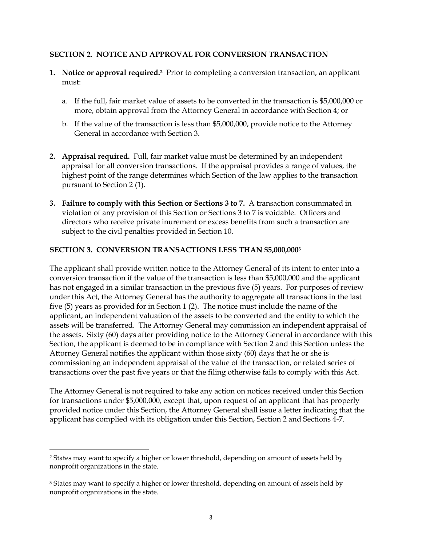#### **SECTION 2. NOTICE AND APPROVAL FOR CONVERSION TRANSACTION**

- **1. Notice or approval required.2** Prior to completing a conversion transaction, an applicant must:
	- a. If the full, fair market value of assets to be converted in the transaction is \$5,000,000 or more, obtain approval from the Attorney General in accordance with Section 4; or
	- b. If the value of the transaction is less than \$5,000,000, provide notice to the Attorney General in accordance with Section 3.
- **2. Appraisal required.** Full, fair market value must be determined by an independent appraisal for all conversion transactions. If the appraisal provides a range of values, the highest point of the range determines which Section of the law applies to the transaction pursuant to Section 2 (1).
- **3. Failure to comply with this Section or Sections 3 to 7.** A transaction consummated in violation of any provision of this Section or Sections 3 to 7 is voidable. Officers and directors who receive private inurement or excess benefits from such a transaction are subject to the civil penalties provided in Section 10.

#### **SECTION 3. CONVERSION TRANSACTIONS LESS THAN \$5,000,0003**

The applicant shall provide written notice to the Attorney General of its intent to enter into a conversion transaction if the value of the transaction is less than \$5,000,000 and the applicant has not engaged in a similar transaction in the previous five (5) years. For purposes of review under this Act, the Attorney General has the authority to aggregate all transactions in the last five (5) years as provided for in Section 1 (2). The notice must include the name of the applicant, an independent valuation of the assets to be converted and the entity to which the assets will be transferred. The Attorney General may commission an independent appraisal of the assets. Sixty (60) days after providing notice to the Attorney General in accordance with this Section, the applicant is deemed to be in compliance with Section 2 and this Section unless the Attorney General notifies the applicant within those sixty (60) days that he or she is commissioning an independent appraisal of the value of the transaction, or related series of transactions over the past five years or that the filing otherwise fails to comply with this Act.

The Attorney General is not required to take any action on notices received under this Section for transactions under \$5,000,000, except that, upon request of an applicant that has properly provided notice under this Section, the Attorney General shall issue a letter indicating that the applicant has complied with its obligation under this Section, Section 2 and Sections 4-7.

<sup>2</sup> States may want to specify a higher or lower threshold, depending on amount of assets held by nonprofit organizations in the state.

<sup>&</sup>lt;sup>3</sup> States may want to specify a higher or lower threshold, depending on amount of assets held by nonprofit organizations in the state.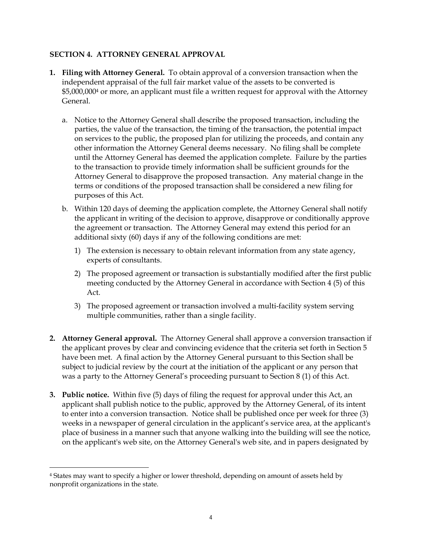## **SECTION 4. ATTORNEY GENERAL APPROVAL**

- **1. Filing with Attorney General.** To obtain approval of a conversion transaction when the independent appraisal of the full fair market value of the assets to be converted is \$5,000,0004 or more, an applicant must file a written request for approval with the Attorney General.
	- a. Notice to the Attorney General shall describe the proposed transaction, including the parties, the value of the transaction, the timing of the transaction, the potential impact on services to the public, the proposed plan for utilizing the proceeds, and contain any other information the Attorney General deems necessary. No filing shall be complete until the Attorney General has deemed the application complete. Failure by the parties to the transaction to provide timely information shall be sufficient grounds for the Attorney General to disapprove the proposed transaction. Any material change in the terms or conditions of the proposed transaction shall be considered a new filing for purposes of this Act.
	- b. Within 120 days of deeming the application complete, the Attorney General shall notify the applicant in writing of the decision to approve, disapprove or conditionally approve the agreement or transaction. The Attorney General may extend this period for an additional sixty (60) days if any of the following conditions are met:
		- 1) The extension is necessary to obtain relevant information from any state agency, experts of consultants.
		- 2) The proposed agreement or transaction is substantially modified after the first public meeting conducted by the Attorney General in accordance with Section 4 (5) of this Act.
		- 3) The proposed agreement or transaction involved a multi-facility system serving multiple communities, rather than a single facility.
- **2. Attorney General approval.** The Attorney General shall approve a conversion transaction if the applicant proves by clear and convincing evidence that the criteria set forth in Section 5 have been met. A final action by the Attorney General pursuant to this Section shall be subject to judicial review by the court at the initiation of the applicant or any person that was a party to the Attorney General's proceeding pursuant to Section 8 (1) of this Act.
- **3. Public notice.** Within five (5) days of filing the request for approval under this Act, an applicant shall publish notice to the public, approved by the Attorney General, of its intent to enter into a conversion transaction. Notice shall be published once per week for three (3) weeks in a newspaper of general circulation in the applicant's service area, at the applicant's place of business in a manner such that anyone walking into the building will see the notice, on the applicant's web site, on the Attorney General's web site, and in papers designated by

<sup>4</sup> States may want to specify a higher or lower threshold, depending on amount of assets held by nonprofit organizations in the state.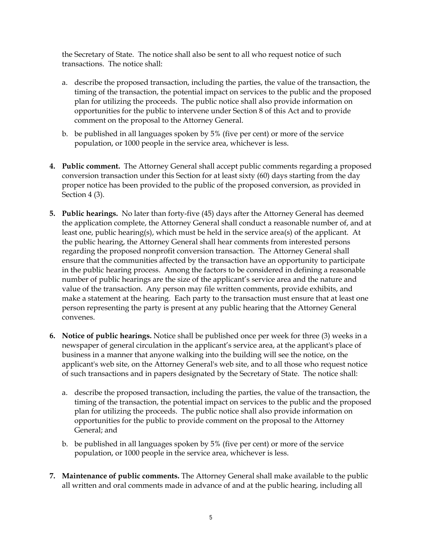the Secretary of State. The notice shall also be sent to all who request notice of such transactions. The notice shall:

- a. describe the proposed transaction, including the parties, the value of the transaction, the timing of the transaction, the potential impact on services to the public and the proposed plan for utilizing the proceeds. The public notice shall also provide information on opportunities for the public to intervene under Section 8 of this Act and to provide comment on the proposal to the Attorney General.
- b. be published in all languages spoken by 5% (five per cent) or more of the service population, or 1000 people in the service area, whichever is less.
- **4. Public comment.** The Attorney General shall accept public comments regarding a proposed conversion transaction under this Section for at least sixty (60) days starting from the day proper notice has been provided to the public of the proposed conversion, as provided in Section 4 (3).
- **5. Public hearings.** No later than forty-five (45) days after the Attorney General has deemed the application complete, the Attorney General shall conduct a reasonable number of, and at least one, public hearing(s), which must be held in the service area(s) of the applicant. At the public hearing, the Attorney General shall hear comments from interested persons regarding the proposed nonprofit conversion transaction. The Attorney General shall ensure that the communities affected by the transaction have an opportunity to participate in the public hearing process. Among the factors to be considered in defining a reasonable number of public hearings are the size of the applicant's service area and the nature and value of the transaction. Any person may file written comments, provide exhibits, and make a statement at the hearing. Each party to the transaction must ensure that at least one person representing the party is present at any public hearing that the Attorney General convenes.
- **6. Notice of public hearings.** Notice shall be published once per week for three (3) weeks in a newspaper of general circulation in the applicant's service area, at the applicant's place of business in a manner that anyone walking into the building will see the notice, on the applicant's web site, on the Attorney General's web site, and to all those who request notice of such transactions and in papers designated by the Secretary of State. The notice shall:
	- a. describe the proposed transaction, including the parties, the value of the transaction, the timing of the transaction, the potential impact on services to the public and the proposed plan for utilizing the proceeds. The public notice shall also provide information on opportunities for the public to provide comment on the proposal to the Attorney General; and
	- b. be published in all languages spoken by 5% (five per cent) or more of the service population, or 1000 people in the service area, whichever is less.
- **7. Maintenance of public comments.** The Attorney General shall make available to the public all written and oral comments made in advance of and at the public hearing, including all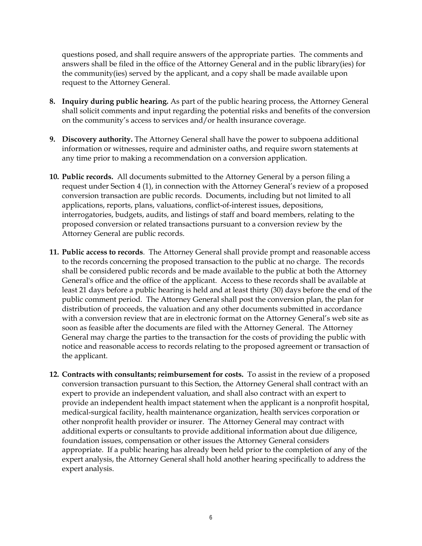questions posed, and shall require answers of the appropriate parties. The comments and answers shall be filed in the office of the Attorney General and in the public library(ies) for the community(ies) served by the applicant, and a copy shall be made available upon request to the Attorney General.

- **8. Inquiry during public hearing.** As part of the public hearing process, the Attorney General shall solicit comments and input regarding the potential risks and benefits of the conversion on the community's access to services and/or health insurance coverage.
- **9. Discovery authority.** The Attorney General shall have the power to subpoena additional information or witnesses, require and administer oaths, and require sworn statements at any time prior to making a recommendation on a conversion application.
- **10. Public records.** All documents submitted to the Attorney General by a person filing a request under Section 4 (1), in connection with the Attorney General's review of a proposed conversion transaction are public records. Documents, including but not limited to all applications, reports, plans, valuations, conflict-of-interest issues, depositions, interrogatories, budgets, audits, and listings of staff and board members, relating to the proposed conversion or related transactions pursuant to a conversion review by the Attorney General are public records.
- **11. Public access to records**.The Attorney General shall provide prompt and reasonable access to the records concerning the proposed transaction to the public at no charge. The records shall be considered public records and be made available to the public at both the Attorney General's office and the office of the applicant. Access to these records shall be available at least 21 days before a public hearing is held and at least thirty (30) days before the end of the public comment period. The Attorney General shall post the conversion plan, the plan for distribution of proceeds, the valuation and any other documents submitted in accordance with a conversion review that are in electronic format on the Attorney General's web site as soon as feasible after the documents are filed with the Attorney General. The Attorney General may charge the parties to the transaction for the costs of providing the public with notice and reasonable access to records relating to the proposed agreement or transaction of the applicant.
- **12. Contracts with consultants; reimbursement for costs.** To assist in the review of a proposed conversion transaction pursuant to this Section, the Attorney General shall contract with an expert to provide an independent valuation, and shall also contract with an expert to provide an independent health impact statement when the applicant is a nonprofit hospital, medical-surgical facility, health maintenance organization, health services corporation or other nonprofit health provider or insurer. The Attorney General may contract with additional experts or consultants to provide additional information about due diligence, foundation issues, compensation or other issues the Attorney General considers appropriate. If a public hearing has already been held prior to the completion of any of the expert analysis, the Attorney General shall hold another hearing specifically to address the expert analysis.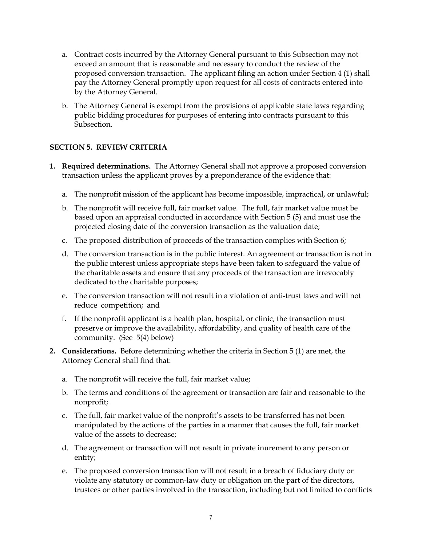- a. Contract costs incurred by the Attorney General pursuant to this Subsection may not exceed an amount that is reasonable and necessary to conduct the review of the proposed conversion transaction. The applicant filing an action under Section 4 (1) shall pay the Attorney General promptly upon request for all costs of contracts entered into by the Attorney General.
- b. The Attorney General is exempt from the provisions of applicable state laws regarding public bidding procedures for purposes of entering into contracts pursuant to this Subsection.

## **SECTION 5. REVIEW CRITERIA**

- **1. Required determinations.** The Attorney General shall not approve a proposed conversion transaction unless the applicant proves by a preponderance of the evidence that:
	- a. The nonprofit mission of the applicant has become impossible, impractical, or unlawful;
	- b. The nonprofit will receive full, fair market value. The full, fair market value must be based upon an appraisal conducted in accordance with Section 5 (5) and must use the projected closing date of the conversion transaction as the valuation date;
	- c. The proposed distribution of proceeds of the transaction complies with Section 6;
	- d. The conversion transaction is in the public interest. An agreement or transaction is not in the public interest unless appropriate steps have been taken to safeguard the value of the charitable assets and ensure that any proceeds of the transaction are irrevocably dedicated to the charitable purposes;
	- e. The conversion transaction will not result in a violation of anti-trust laws and will not reduce competition; and
	- f. If the nonprofit applicant is a health plan, hospital, or clinic, the transaction must preserve or improve the availability, affordability, and quality of health care of the community. (See 5(4) below)
- **2. Considerations.** Before determining whether the criteria in Section 5 (1) are met, the Attorney General shall find that:
	- a. The nonprofit will receive the full, fair market value;
	- b. The terms and conditions of the agreement or transaction are fair and reasonable to the nonprofit;
	- c. The full, fair market value of the nonprofit's assets to be transferred has not been manipulated by the actions of the parties in a manner that causes the full, fair market value of the assets to decrease;
	- d. The agreement or transaction will not result in private inurement to any person or entity;
	- e. The proposed conversion transaction will not result in a breach of fiduciary duty or violate any statutory or common-law duty or obligation on the part of the directors, trustees or other parties involved in the transaction, including but not limited to conflicts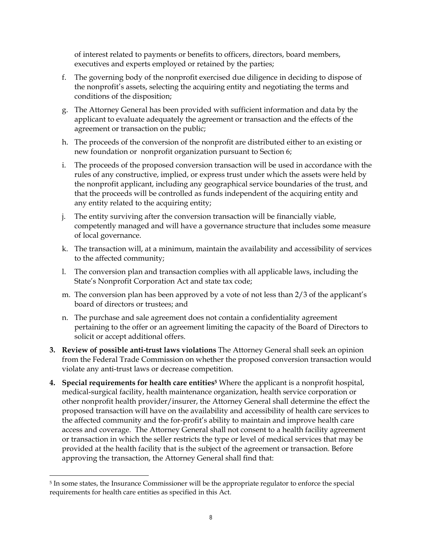of interest related to payments or benefits to officers, directors, board members, executives and experts employed or retained by the parties;

- f. The governing body of the nonprofit exercised due diligence in deciding to dispose of the nonprofit's assets, selecting the acquiring entity and negotiating the terms and conditions of the disposition;
- g. The Attorney General has been provided with sufficient information and data by the applicant to evaluate adequately the agreement or transaction and the effects of the agreement or transaction on the public;
- h. The proceeds of the conversion of the nonprofit are distributed either to an existing or new foundation or nonprofit organization pursuant to Section 6;
- i. The proceeds of the proposed conversion transaction will be used in accordance with the rules of any constructive, implied, or express trust under which the assets were held by the nonprofit applicant, including any geographical service boundaries of the trust, and that the proceeds will be controlled as funds independent of the acquiring entity and any entity related to the acquiring entity;
- j. The entity surviving after the conversion transaction will be financially viable, competently managed and will have a governance structure that includes some measure of local governance.
- k. The transaction will, at a minimum, maintain the availability and accessibility of services to the affected community;
- l. The conversion plan and transaction complies with all applicable laws, including the State's Nonprofit Corporation Act and state tax code;
- m. The conversion plan has been approved by a vote of not less than 2/3 of the applicant's board of directors or trustees; and
- n. The purchase and sale agreement does not contain a confidentiality agreement pertaining to the offer or an agreement limiting the capacity of the Board of Directors to solicit or accept additional offers.
- **3. Review of possible anti-trust laws violations** The Attorney General shall seek an opinion from the Federal Trade Commission on whether the proposed conversion transaction would violate any anti-trust laws or decrease competition.
- **4. Special requirements for health care entities5** Where the applicant is a nonprofit hospital, medical-surgical facility, health maintenance organization, health service corporation or other nonprofit health provider/insurer, the Attorney General shall determine the effect the proposed transaction will have on the availability and accessibility of health care services to the affected community and the for-profit's ability to maintain and improve health care access and coverage. The Attorney General shall not consent to a health facility agreement or transaction in which the seller restricts the type or level of medical services that may be provided at the health facility that is the subject of the agreement or transaction. Before approving the transaction, the Attorney General shall find that:

<sup>5</sup> In some states, the Insurance Commissioner will be the appropriate regulator to enforce the special requirements for health care entities as specified in this Act.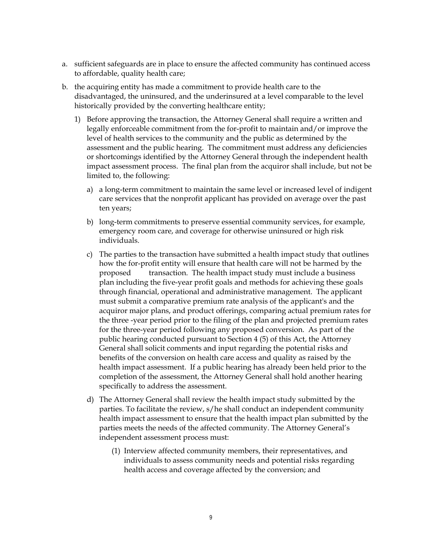- a. sufficient safeguards are in place to ensure the affected community has continued access to affordable, quality health care;
- b. the acquiring entity has made a commitment to provide health care to the disadvantaged, the uninsured, and the underinsured at a level comparable to the level historically provided by the converting healthcare entity;
	- 1) Before approving the transaction, the Attorney General shall require a written and legally enforceable commitment from the for-profit to maintain and/or improve the level of health services to the community and the public as determined by the assessment and the public hearing. The commitment must address any deficiencies or shortcomings identified by the Attorney General through the independent health impact assessment process. The final plan from the acquiror shall include, but not be limited to, the following:
		- a) a long-term commitment to maintain the same level or increased level of indigent care services that the nonprofit applicant has provided on average over the past ten years;
		- b) long-term commitments to preserve essential community services, for example, emergency room care, and coverage for otherwise uninsured or high risk individuals.
		- c) The parties to the transaction have submitted a health impact study that outlines how the for-profit entity will ensure that health care will not be harmed by the proposed transaction. The health impact study must include a business plan including the five-year profit goals and methods for achieving these goals through financial, operational and administrative management. The applicant must submit a comparative premium rate analysis of the applicant's and the acquiror major plans, and product offerings, comparing actual premium rates for the three -year period prior to the filing of the plan and projected premium rates for the three-year period following any proposed conversion. As part of the public hearing conducted pursuant to Section 4 (5) of this Act, the Attorney General shall solicit comments and input regarding the potential risks and benefits of the conversion on health care access and quality as raised by the health impact assessment. If a public hearing has already been held prior to the completion of the assessment, the Attorney General shall hold another hearing specifically to address the assessment.
		- d) The Attorney General shall review the health impact study submitted by the parties. To facilitate the review, s/he shall conduct an independent community health impact assessment to ensure that the health impact plan submitted by the parties meets the needs of the affected community. The Attorney General's independent assessment process must:
			- (1) Interview affected community members, their representatives, and individuals to assess community needs and potential risks regarding health access and coverage affected by the conversion; and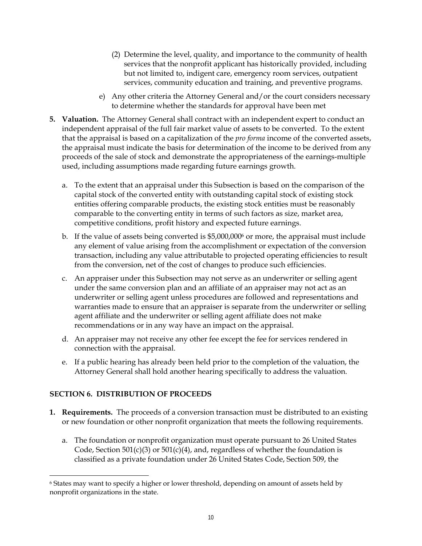- (2) Determine the level, quality, and importance to the community of health services that the nonprofit applicant has historically provided, including but not limited to, indigent care, emergency room services, outpatient services, community education and training, and preventive programs.
- e) Any other criteria the Attorney General and/or the court considers necessary to determine whether the standards for approval have been met
- **5. Valuation.** The Attorney General shall contract with an independent expert to conduct an independent appraisal of the full fair market value of assets to be converted. To the extent that the appraisal is based on a capitalization of the *pro forma* income of the converted assets, the appraisal must indicate the basis for determination of the income to be derived from any proceeds of the sale of stock and demonstrate the appropriateness of the earnings-multiple used, including assumptions made regarding future earnings growth.
	- a. To the extent that an appraisal under this Subsection is based on the comparison of the capital stock of the converted entity with outstanding capital stock of existing stock entities offering comparable products, the existing stock entities must be reasonably comparable to the converting entity in terms of such factors as size, market area, competitive conditions, profit history and expected future earnings.
	- b. If the value of assets being converted is \$5,000,0006 or more, the appraisal must include any element of value arising from the accomplishment or expectation of the conversion transaction, including any value attributable to projected operating efficiencies to result from the conversion, net of the cost of changes to produce such efficiencies.
	- c. An appraiser under this Subsection may not serve as an underwriter or selling agent under the same conversion plan and an affiliate of an appraiser may not act as an underwriter or selling agent unless procedures are followed and representations and warranties made to ensure that an appraiser is separate from the underwriter or selling agent affiliate and the underwriter or selling agent affiliate does not make recommendations or in any way have an impact on the appraisal.
	- d. An appraiser may not receive any other fee except the fee for services rendered in connection with the appraisal.
	- e. If a public hearing has already been held prior to the completion of the valuation, the Attorney General shall hold another hearing specifically to address the valuation.

# **SECTION 6. DISTRIBUTION OF PROCEEDS**

- **1. Requirements.** The proceeds of a conversion transaction must be distributed to an existing or new foundation or other nonprofit organization that meets the following requirements.
	- a. The foundation or nonprofit organization must operate pursuant to 26 United States Code, Section 501(c)(3) or 501(c)(4), and, regardless of whether the foundation is classified as a private foundation under 26 United States Code, Section 509, the

<sup>6</sup> States may want to specify a higher or lower threshold, depending on amount of assets held by nonprofit organizations in the state.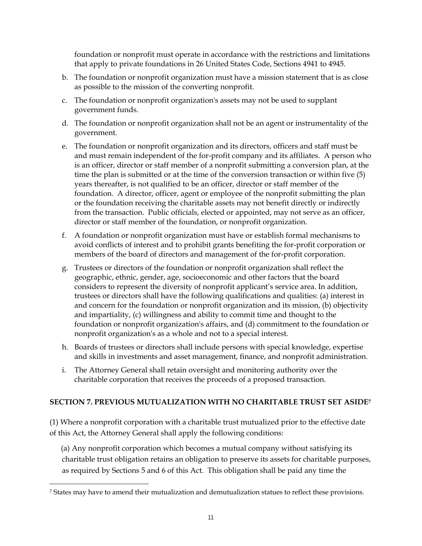foundation or nonprofit must operate in accordance with the restrictions and limitations that apply to private foundations in 26 United States Code, Sections 4941 to 4945.

- b. The foundation or nonprofit organization must have a mission statement that is as close as possible to the mission of the converting nonprofit.
- c. The foundation or nonprofit organization's assets may not be used to supplant government funds.
- d. The foundation or nonprofit organization shall not be an agent or instrumentality of the government.
- e. The foundation or nonprofit organization and its directors, officers and staff must be and must remain independent of the for-profit company and its affiliates. A person who is an officer, director or staff member of a nonprofit submitting a conversion plan, at the time the plan is submitted or at the time of the conversion transaction or within five (5) years thereafter, is not qualified to be an officer, director or staff member of the foundation. A director, officer, agent or employee of the nonprofit submitting the plan or the foundation receiving the charitable assets may not benefit directly or indirectly from the transaction. Public officials, elected or appointed, may not serve as an officer, director or staff member of the foundation, or nonprofit organization.
- f. A foundation or nonprofit organization must have or establish formal mechanisms to avoid conflicts of interest and to prohibit grants benefiting the for-profit corporation or members of the board of directors and management of the for-profit corporation.
- g. Trustees or directors of the foundation or nonprofit organization shall reflect the geographic, ethnic, gender, age, socioeconomic and other factors that the board considers to represent the diversity of nonprofit applicant's service area. In addition, trustees or directors shall have the following qualifications and qualities: (a) interest in and concern for the foundation or nonprofit organization and its mission, (b) objectivity and impartiality, (c) willingness and ability to commit time and thought to the foundation or nonprofit organization's affairs, and (d) commitment to the foundation or nonprofit organization's as a whole and not to a special interest.
- h. Boards of trustees or directors shall include persons with special knowledge, expertise and skills in investments and asset management, finance, and nonprofit administration.
- i. The Attorney General shall retain oversight and monitoring authority over the charitable corporation that receives the proceeds of a proposed transaction.

# **SECTION 7. PREVIOUS MUTUALIZATION WITH NO CHARITABLE TRUST SET ASIDE7**

(1) Where a nonprofit corporation with a charitable trust mutualized prior to the effective date of this Act, the Attorney General shall apply the following conditions:

 (a) Any nonprofit corporation which becomes a mutual company without satisfying its charitable trust obligation retains an obligation to preserve its assets for charitable purposes, as required by Sections 5 and 6 of this Act. This obligation shall be paid any time the

<sup>7</sup> States may have to amend their mutualization and demutualization statues to reflect these provisions.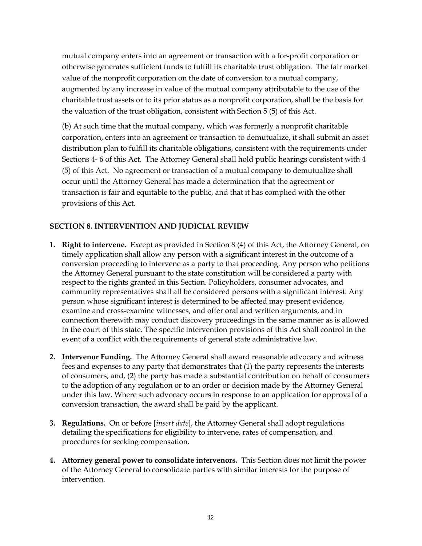mutual company enters into an agreement or transaction with a for-profit corporation or otherwise generates sufficient funds to fulfill its charitable trust obligation. The fair market value of the nonprofit corporation on the date of conversion to a mutual company, augmented by any increase in value of the mutual company attributable to the use of the charitable trust assets or to its prior status as a nonprofit corporation, shall be the basis for the valuation of the trust obligation, consistent with Section 5 (5) of this Act.

(b) At such time that the mutual company, which was formerly a nonprofit charitable corporation, enters into an agreement or transaction to demutualize, it shall submit an asset distribution plan to fulfill its charitable obligations, consistent with the requirements under Sections 4- 6 of this Act. The Attorney General shall hold public hearings consistent with 4 (5) of this Act. No agreement or transaction of a mutual company to demutualize shall occur until the Attorney General has made a determination that the agreement or transaction is fair and equitable to the public, and that it has complied with the other provisions of this Act.

#### **SECTION 8. INTERVENTION AND JUDICIAL REVIEW**

- **1. Right to intervene.** Except as provided in Section 8 (4) of this Act, the Attorney General, on timely application shall allow any person with a significant interest in the outcome of a conversion proceeding to intervene as a party to that proceeding. Any person who petitions the Attorney General pursuant to the state constitution will be considered a party with respect to the rights granted in this Section. Policyholders, consumer advocates, and community representatives shall all be considered persons with a significant interest. Any person whose significant interest is determined to be affected may present evidence, examine and cross-examine witnesses, and offer oral and written arguments, and in connection therewith may conduct discovery proceedings in the same manner as is allowed in the court of this state. The specific intervention provisions of this Act shall control in the event of a conflict with the requirements of general state administrative law.
- **2. Intervenor Funding.** The Attorney General shall award reasonable advocacy and witness fees and expenses to any party that demonstrates that (1) the party represents the interests of consumers, and, (2) the party has made a substantial contribution on behalf of consumers to the adoption of any regulation or to an order or decision made by the Attorney General under this law. Where such advocacy occurs in response to an application for approval of a conversion transaction, the award shall be paid by the applicant.
- **3. Regulations.** On or before [*insert date*], the Attorney General shall adopt regulations detailing the specifications for eligibility to intervene, rates of compensation, and procedures for seeking compensation.
- **4. Attorney general power to consolidate intervenors.** This Section does not limit the power of the Attorney General to consolidate parties with similar interests for the purpose of intervention.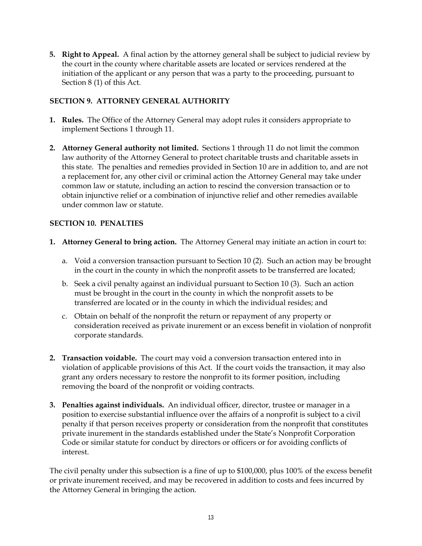**5. Right to Appeal.** A final action by the attorney general shall be subject to judicial review by the court in the county where charitable assets are located or services rendered at the initiation of the applicant or any person that was a party to the proceeding, pursuant to Section 8 (1) of this Act.

## **SECTION 9. ATTORNEY GENERAL AUTHORITY**

- **1. Rules.** The Office of the Attorney General may adopt rules it considers appropriate to implement Sections 1 through 11.
- **2. Attorney General authority not limited.** Sections 1 through 11 do not limit the common law authority of the Attorney General to protect charitable trusts and charitable assets in this state. The penalties and remedies provided in Section 10 are in addition to, and are not a replacement for, any other civil or criminal action the Attorney General may take under common law or statute, including an action to rescind the conversion transaction or to obtain injunctive relief or a combination of injunctive relief and other remedies available under common law or statute.

## **SECTION 10. PENALTIES**

- **1. Attorney General to bring action.** The Attorney General may initiate an action in court to:
	- a. Void a conversion transaction pursuant to Section 10 (2). Such an action may be brought in the court in the county in which the nonprofit assets to be transferred are located;
	- b. Seek a civil penalty against an individual pursuant to Section 10 (3). Such an action must be brought in the court in the county in which the nonprofit assets to be transferred are located or in the county in which the individual resides; and
	- c. Obtain on behalf of the nonprofit the return or repayment of any property or consideration received as private inurement or an excess benefit in violation of nonprofit corporate standards.
- **2. Transaction voidable.** The court may void a conversion transaction entered into in violation of applicable provisions of this Act. If the court voids the transaction, it may also grant any orders necessary to restore the nonprofit to its former position, including removing the board of the nonprofit or voiding contracts.
- **3. Penalties against individuals.** An individual officer, director, trustee or manager in a position to exercise substantial influence over the affairs of a nonprofit is subject to a civil penalty if that person receives property or consideration from the nonprofit that constitutes private inurement in the standards established under the State's Nonprofit Corporation Code or similar statute for conduct by directors or officers or for avoiding conflicts of interest.

The civil penalty under this subsection is a fine of up to \$100,000, plus 100% of the excess benefit or private inurement received, and may be recovered in addition to costs and fees incurred by the Attorney General in bringing the action.